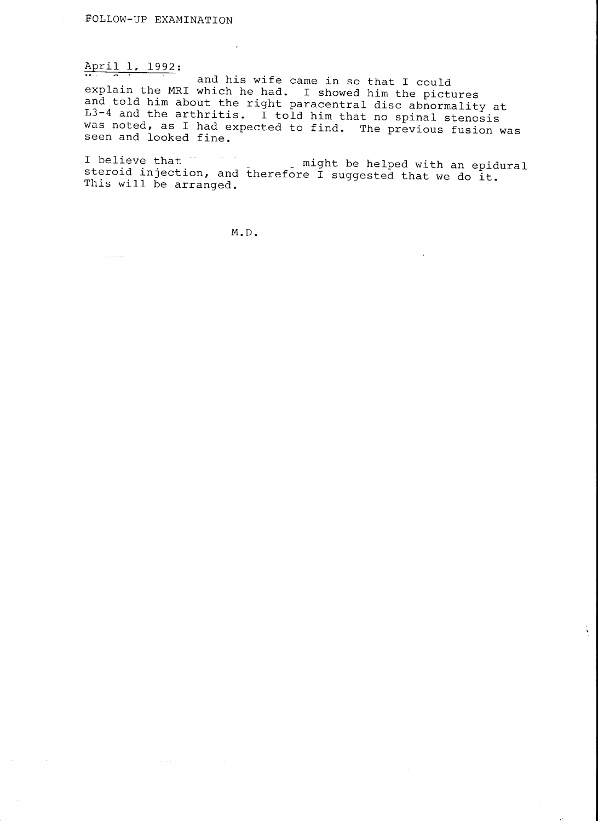### ApriI I, 1992:

and his wife came in so that I could explain the MRI which he had. I showed him the pictures<br>and told him about the right paracentral disc abnormality at and told him about the right paracentrar disc abiocidentrary a.<br>L3-4 and the arthritis. I told him that no spinal stenosis was noted, as I had expected to find. The previous fusion was<br>seen and looked fine.

I believe that.<br>Steroid injection, and therefore I suggested that we do it.<br>This will be arranged.

 $\frac{\epsilon}{2}$  .

M.D.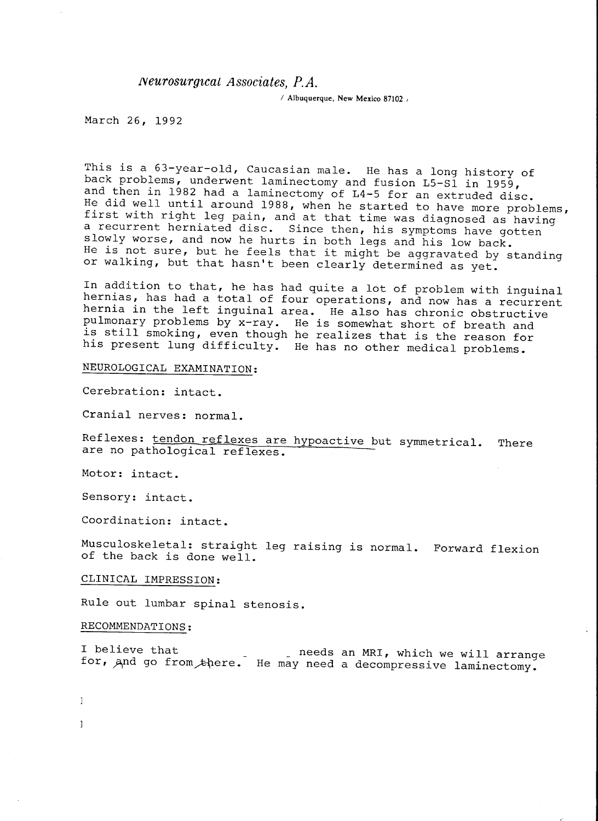### $Neurosurgical Associates, P.A.$

 $/$  Albuquerque, New Mexico 87102  $/$ 

March 26, 1992

This is a 63-year-old, Caucasian male. He has a long history of<br>back problems, underwent laminectomy and fusion L5-S1 in 1959,<br>and then in 1982 had a laminectomy of L4-5 for an extruded disc.<br>He did well until around 1988, a recurrent herniated disc. Since then, his symptoms have gotten<br>slowly worse, and now he hurts in both legs and his low back. He is not sure, but he feels that it might be aggravated by standing or walking, but that hasn't been clearly determined as yet.

In addition to that, he has had quite a lot of problem with inguinal<br>hernias, has had a total of four operations, and now has a recurrent<br>hernia in the left inguinal area. He also has chronic obstructive<br>pulmonary problems

# NEUROLOGICAL EXAMINATION :

Cerebration: intact.

Cranial nerves: normal.

Reflexes: tendon reflexes are hypoactive but symmetrical. There are no pathological reflexes.

Motor: intact.

Sensory: intact.

Coordination: intact.

Musculoskeletal: straight leg raising is normal. Forward flexi of the back is done well.

# CLINICAL IMPRESSION:

RuIe out lumbar spinal stenosis.

#### RECOMMENDATIONS :

 $\mathbf{I}$ 

PUM: mz

I believe that re. He may need a decompressive laminectom needs an MRI, which we will arrang